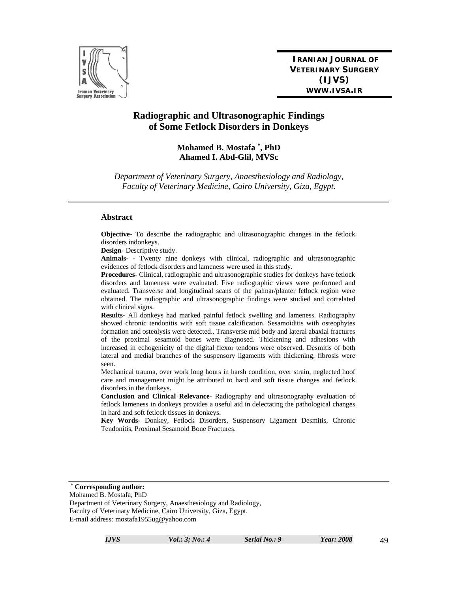

**IRANIAN JOURNAL OF VETERINARY SURGERY (IJVS) WWW.IVSA.IR**

# **Radiographic and Ultrasonographic Findings of Some Fetlock Disorders in Donkeys**

## **Mohamed B. Mostafa , PhD Ahamed I. Abd-Glil, MVSc**

*Department of Veterinary Surgery, Anaesthesiology and Radiology, Faculty of Veterinary Medicine, Cairo University, Giza, Egypt.* 

#### **Abstract**

**Objective-** To describe the radiographic and ultrasonographic changes in the fetlock disorders indonkeys.

**Design-** Descriptive study.

**Animals-** - Twenty nine donkeys with clinical, radiographic and ultrasonographic evidences of fetlock disorders and lameness were used in this study.

**Procedures-** Clinical, radiographic and ultrasonographic studies for donkeys have fetlock disorders and lameness were evaluated. Five radiographic views were performed and evaluated. Transverse and longitudinal scans of the palmar/planter fetlock region were obtained. The radiographic and ultrasonographic findings were studied and correlated with clinical signs.

**Results-** All donkeys had marked painful fetlock swelling and lameness. Radiography showed chronic tendonitis with soft tissue calcification. Sesamoiditis with osteophytes formation and osteolysis were detected.. Transverse mid body and lateral abaxial fractures of the proximal sesamoid bones were diagnosed. Thickening and adhesions with increased in echogenicity of the digital flexor tendons were observed. Desmitis of both lateral and medial branches of the suspensory ligaments with thickening, fibrosis were seen.

Mechanical trauma, over work long hours in harsh condition, over strain, neglected hoof care and management might be attributed to hard and soft tissue changes and fetlock disorders in the donkeys.

**Conclusion and Clinical Relevance-** Radiography and ultrasonography evaluation of fetlock lameness in donkeys provides a useful aid in delectating the pathological changes in hard and soft fetlock tissues in donkeys.

**Key Words-** Donkey, Fetlock Disorders, Suspensory Ligament Desmitis, Chronic Tendonitis, Proximal Sesamoid Bone Fractures.

**Corresponding author:** 

Mohamed B. Mostafa, PhD

Department of Veterinary Surgery, Anaesthesiology and Radiology, Faculty of Veterinary Medicine, Cairo University, Giza, Egypt. E-mail address: mostafa1955ug@yahoo.com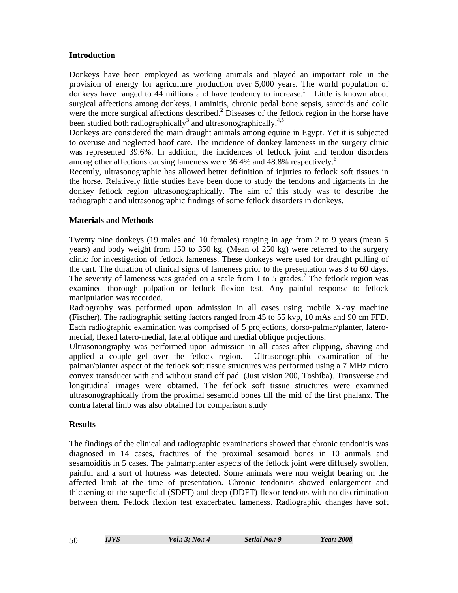### **Introduction**

Donkeys have been employed as working animals and played an important role in the provision of energy for agriculture production over 5,000 years. The world population of donkeys have ranged to  $44$  millions and have tendency to increase.<sup>1</sup> Little is known about surgical affections among donkeys. Laminitis, chronic pedal bone sepsis, sarcoids and colic were the more surgical affections described.<sup>2</sup> Diseases of the fetlock region in the horse have been studied both radiographically<sup>3</sup> and ultrasonographically.<sup>4,5</sup>

Donkeys are considered the main draught animals among equine in Egypt. Yet it is subjected to overuse and neglected hoof care. The incidence of donkey lameness in the surgery clinic was represented 39.6%. In addition, the incidences of fetlock joint and tendon disorders among other affections causing lameness were 36.4% and 48.8% respectively.<sup>6</sup>

Recently, ultrasonographic has allowed better definition of injuries to fetlock soft tissues in the horse. Relatively little studies have been done to study the tendons and ligaments in the donkey fetlock region ultrasonographically. The aim of this study was to describe the radiographic and ultrasonographic findings of some fetlock disorders in donkeys.

# **Materials and Methods**

Twenty nine donkeys (19 males and 10 females) ranging in age from 2 to 9 years (mean 5 years) and body weight from 150 to 350 kg. (Mean of 250 kg) were referred to the surgery clinic for investigation of fetlock lameness. These donkeys were used for draught pulling of the cart. The duration of clinical signs of lameness prior to the presentation was 3 to 60 days. The severity of lameness was graded on a scale from 1 to 5 grades.<sup>7</sup> The fetlock region was examined thorough palpation or fetlock flexion test. Any painful response to fetlock manipulation was recorded.

Radiography was performed upon admission in all cases using mobile X-ray machine (Fischer). The radiographic setting factors ranged from 45 to 55 kvp, 10 mAs and 90 cm FFD. Each radiographic examination was comprised of 5 projections, dorso-palmar/planter, lateromedial, flexed latero-medial, lateral oblique and medial oblique projections.

Ultrasonongraphy was performed upon admission in all cases after clipping, shaving and applied a couple gel over the fetlock region. Ultrasonographic examination of the palmar/planter aspect of the fetlock soft tissue structures was performed using a 7 MHz micro convex transducer with and without stand off pad. (Just vision 200, Toshiba). Transverse and longitudinal images were obtained. The fetlock soft tissue structures were examined ultrasonographically from the proximal sesamoid bones till the mid of the first phalanx. The contra lateral limb was also obtained for comparison study

# **Results**

The findings of the clinical and radiographic examinations showed that chronic tendonitis was diagnosed in 14 cases, fractures of the proximal sesamoid bones in 10 animals and sesamoiditis in 5 cases. The palmar/planter aspects of the fetlock joint were diffusely swollen, painful and a sort of hotness was detected. Some animals were non weight bearing on the affected limb at the time of presentation. Chronic tendonitis showed enlargement and thickening of the superficial (SDFT) and deep (DDFT) flexor tendons with no discrimination between them. Fetlock flexion test exacerbated lameness. Radiographic changes have soft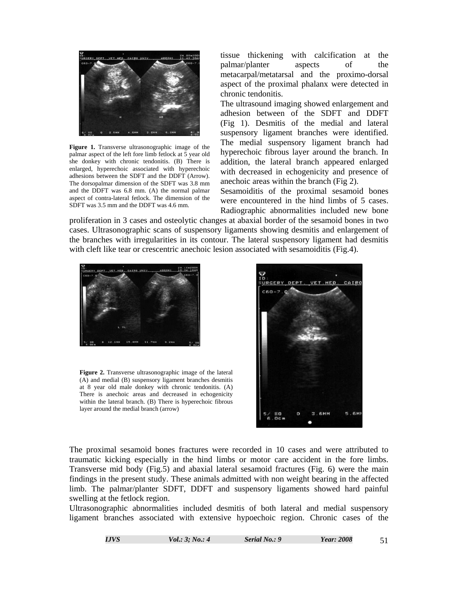

**Figure 1.** Transverse ultrasonographic image of the palmar aspect of the left fore limb fetlock at 5 year old she donkey with chronic tendonitis. (B) There is enlarged, hyperechoic associated with hyperechoic adhesions between the SDFT and the DDFT (Arrow). The dorsopalmar dimension of the SDFT was 3.8 mm and the DDFT was 6.8 mm. (A) the normal palmar aspect of contra-lateral fetlock. The dimension of the SDFT was 3.5 mm and the DDFT was 4.6 mm.

tissue thickening with calcification at the palmar/planter aspects of the metacarpal/metatarsal and the proximo-dorsal aspect of the proximal phalanx were detected in chronic tendonitis.

The ultrasound imaging showed enlargement and adhesion between of the SDFT and DDFT (Fig 1). Desmitis of the medial and lateral suspensory ligament branches were identified. The medial suspensory ligament branch had hyperechoic fibrous layer around the branch. In addition, the lateral branch appeared enlarged with decreased in echogenicity and presence of anechoic areas within the branch (Fig 2).

Sesamoiditis of the proximal sesamoid bones were encountered in the hind limbs of 5 cases. Radiographic abnormalities included new bone

proliferation in 3 cases and osteolytic changes at abaxial border of the sesamoid bones in two cases. Ultrasonographic scans of suspensory ligaments showing desmitis and enlargement of the branches with irregularities in its contour. The lateral suspensory ligament had desmitis with cleft like tear or crescentric anechoic lesion associated with sesamoiditis (Fig.4).



**Figure 2.** Transverse ultrasonographic image of the lateral (A) and medial (B) suspensory ligament branches desmitis at 8 year old male donkey with chronic tendonitis. (A) There is anechoic areas and decreased in echogenicity within the lateral branch. (B) There is hyperechoic fibrous layer around the medial branch (arrow)



The proximal sesamoid bones fractures were recorded in 10 cases and were attributed to traumatic kicking especially in the hind limbs or motor care accident in the fore limbs. Transverse mid body (Fig.5) and abaxial lateral sesamoid fractures (Fig. 6) were the main findings in the present study. These animals admitted with non weight bearing in the affected limb. The palmar/planter SDFT, DDFT and suspensory ligaments showed hard painful swelling at the fetlock region.

Ultrasonographic abnormalities included desmitis of both lateral and medial suspensory ligament branches associated with extensive hypoechoic region. Chronic cases of the

| I.JVS | <i>Vol.</i> : $3: No.: 4$ | Serial No.: 9 | Year: 2008 |  |
|-------|---------------------------|---------------|------------|--|
|       |                           |               |            |  |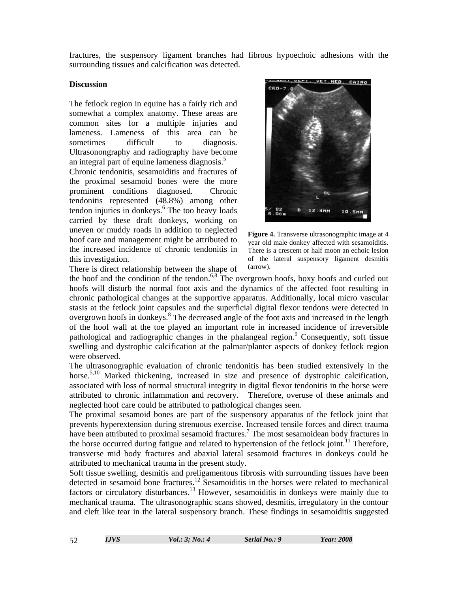fractures, the suspensory ligament branches had fibrous hypoechoic adhesions with the surrounding tissues and calcification was detected.

#### **Discussion**

The fetlock region in equine has a fairly rich and somewhat a complex anatomy. These areas are common sites for a multiple injuries and lameness. Lameness of this area can be sometimes difficult to diagnosis. Ultrasonongraphy and radiography have become an integral part of equine lameness diagnosis.<sup>5</sup>

Chronic tendonitis, sesamoiditis and fractures of the proximal sesamoid bones were the more prominent conditions diagnosed. Chronic tendonitis represented (48.8%) among other tendon injuries in donkeys.<sup>6</sup> The too heavy loads carried by these draft donkeys, working on uneven or muddy roads in addition to neglected hoof care and management might be attributed to the increased incidence of chronic tendonitis in this investigation.

There is direct relationship between the shape of



**Figure 4.** Transverse ultrasonographic image at 4 year old male donkey affected with sesamoiditis. There is a crescent or half moon an echoic lesion of the lateral suspensory ligament desmitis (arrow).

the hoof and the condition of the tendon.<sup>6,8</sup> The overgrown hoofs, boxy hoofs and curled out hoofs will disturb the normal foot axis and the dynamics of the affected foot resulting in chronic pathological changes at the supportive apparatus. Additionally, local micro vascular stasis at the fetlock joint capsules and the superficial digital flexor tendons were detected in overgrown hoofs in donkeys.<sup>8</sup> The decreased angle of the foot axis and increased in the length of the hoof wall at the toe played an important role in increased incidence of irreversible pathological and radiographic changes in the phalangeal region.<sup>9</sup> Consequently, soft tissue swelling and dystrophic calcification at the palmar/planter aspects of donkey fetlock region were observed.

The ultrasonographic evaluation of chronic tendonitis has been studied extensively in the horse.<sup>5,10</sup> Marked thickening, increased in size and presence of dystrophic calcification, associated with loss of normal structural integrity in digital flexor tendonitis in the horse were attributed to chronic inflammation and recovery. Therefore, overuse of these animals and neglected hoof care could be attributed to pathological changes seen.

The proximal sesamoid bones are part of the suspensory apparatus of the fetlock joint that prevents hyperextension during strenuous exercise. Increased tensile forces and direct trauma have been attributed to proximal sesamoid fractures.<sup>7</sup> The most sesamoidean body fractures in the horse occurred during fatigue and related to hypertension of the fetlock joint.<sup>11</sup> Therefore, transverse mid body fractures and abaxial lateral sesamoid fractures in donkeys could be attributed to mechanical trauma in the present study.

Soft tissue swelling, desmitis and preligamentous fibrosis with surrounding tissues have been detected in sesamoid bone fractures.<sup>12</sup> Sesamoiditis in the horses were related to mechanical factors or circulatory disturbances.<sup>13</sup> However, sesamoiditis in donkeys were mainly due to mechanical trauma. The ultrasonographic scans showed, desmitis, irregulatory in the contour and cleft like tear in the lateral suspensory branch. These findings in sesamoiditis suggested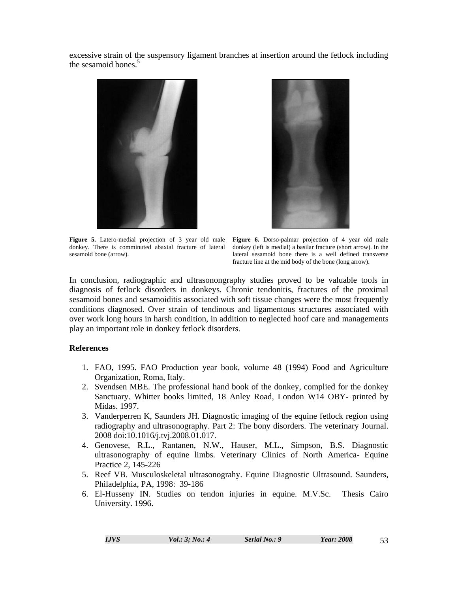excessive strain of the suspensory ligament branches at insertion around the fetlock including the sesamoid bones.<sup>5</sup>



**Figure 5.** Latero-medial projection of 3 year old male **Figure 6.** Dorso-palmar projection of 4 year old male donkey. There is comminuted abaxial fracture of lateral sesamoid bone (arrow).



donkey (left is medial) a basilar fracture (short arrow). In the lateral sesamoid bone there is a well defined transverse fracture line at the mid body of the bone (long arrow).

In conclusion, radiographic and ultrasonongraphy studies proved to be valuable tools in diagnosis of fetlock disorders in donkeys. Chronic tendonitis, fractures of the proximal sesamoid bones and sesamoiditis associated with soft tissue changes were the most frequently conditions diagnosed. Over strain of tendinous and ligamentous structures associated with over work long hours in harsh condition, in addition to neglected hoof care and managements play an important role in donkey fetlock disorders.

#### **References**

- 1. FAO, 1995. FAO Production year book, volume 48 (1994) Food and Agriculture Organization, Roma, Italy.
- 2. Svendsen MBE. The professional hand book of the donkey, complied for the donkey Sanctuary. Whitter books limited, 18 Anley Road, London W14 OBY- printed by Midas. 1997.
- 3. Vanderperren K, Saunders JH. Diagnostic imaging of the equine fetlock region using radiography and ultrasonography. Part 2: The bony disorders. The veterinary Journal. 2008 doi:10.1016/j.tvj.2008.01.017.
- 4. Genovese, R.L., Rantanen, N.W., Hauser, M.L., Simpson, B.S. Diagnostic ultrasonography of equine limbs. Veterinary Clinics of North America- Equine Practice 2, 145-226
- 5. Reef VB. Musculoskeletal ultrasonograhy. Equine Diagnostic Ultrasound. Saunders, Philadelphia, PA, 1998: 39-186
- 6. El-Husseny IN. Studies on tendon injuries in equine. M.V.Sc. Thesis Cairo University. 1996.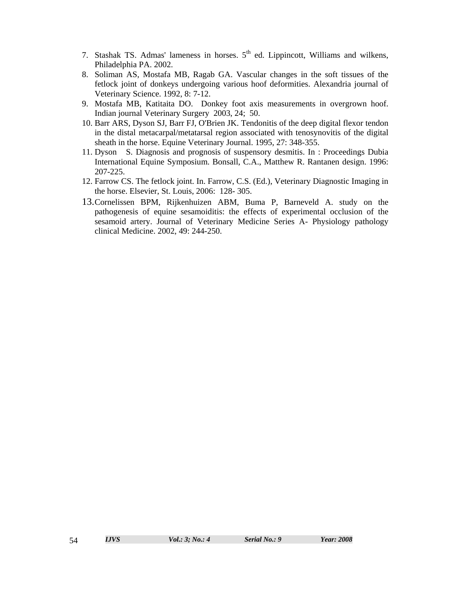- 7. Stashak TS. Admas' lameness in horses.  $5<sup>th</sup>$  ed. Lippincott, Williams and wilkens, Philadelphia PA. 2002.
- 8. Soliman AS, Mostafa MB, Ragab GA. Vascular changes in the soft tissues of the fetlock joint of donkeys undergoing various hoof deformities. Alexandria journal of Veterinary Science. 1992, 8: 7-12.
- 9. Mostafa MB, Katitaita DO. Donkey foot axis measurements in overgrown hoof. Indian journal Veterinary Surgery 2003, 24; 50.
- 10. Barr ARS, Dyson SJ, Barr FJ, O'Brien JK. Tendonitis of the deep digital flexor tendon in the distal metacarpal/metatarsal region associated with tenosynovitis of the digital sheath in the horse. Equine Veterinary Journal. 1995, 27: 348-355.
- 11. Dyson S. Diagnosis and prognosis of suspensory desmitis. In : Proceedings Dubia International Equine Symposium. Bonsall, C.A., Matthew R. Rantanen design. 1996: 207-225.
- 12. Farrow CS. The fetlock joint. In. Farrow, C.S. (Ed.), Veterinary Diagnostic Imaging in the horse. Elsevier, St. Louis, 2006: 128- 305.
- 13.Cornelissen BPM, Rijkenhuizen ABM, Buma P, Barneveld A. study on the pathogenesis of equine sesamoiditis: the effects of experimental occlusion of the sesamoid artery. Journal of Veterinary Medicine Series A- Physiology pathology clinical Medicine. 2002, 49: 244-250.